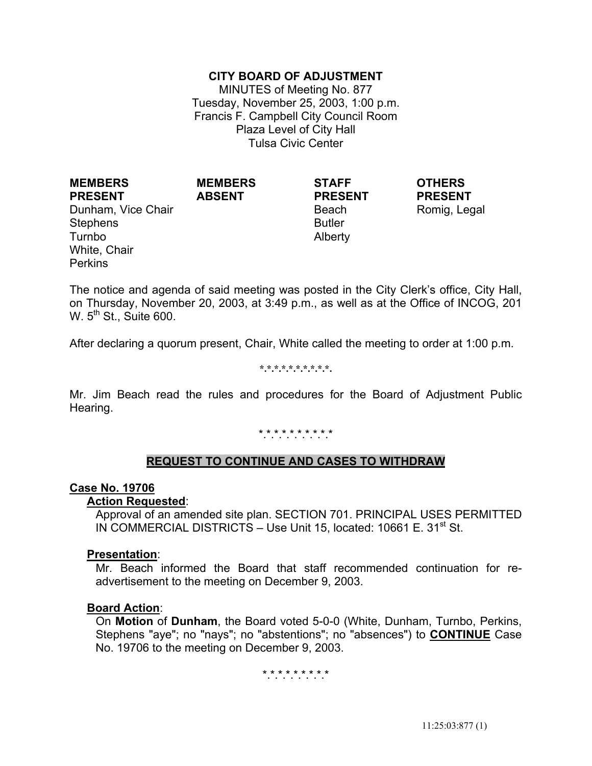# **CITY BOARD OF ADJUSTMENT**

MINUTES of Meeting No. 877 Tuesday, November 25, 2003, 1:00 p.m. Francis F. Campbell City Council Room Plaza Level of City Hall Tulsa Civic Center

**PRESENT** Dunham, Vice Chair **Beach** Beach Romig, Legal Stephens Turnbo White, Chair **Perkins** 

**MEMBERS** 

**MEMBERS ABSENT**

**STAFF PRESENT**

> Butler Alberty

**OTHERS PRESENT**

The notice and agenda of said meeting was posted in the City Clerk's office, City Hall, on Thursday, November 20, 2003, at 3:49 p.m., as well as at the Office of INCOG, 201 W.  $5<sup>th</sup>$  St., Suite 600.

After declaring a quorum present, Chair, White called the meeting to order at 1:00 p.m.

#### **\*.\*.\*.\*.\*.\*.\*.\*.\*.\*.**

Mr. Jim Beach read the rules and procedures for the Board of Adjustment Public Hearing.

#### \*\*\*\*\*\*\*\*\*\*

## **REQUEST TO CONTINUE AND CASES TO WITHDRAW**

#### **Case No. 19706**

#### **Action Requested**:

 Approval of an amended site plan. SECTION 701. PRINCIPAL USES PERMITTED IN COMMERCIAL DISTRICTS – Use Unit 15, located: 10661 E. 31<sup>st</sup> St.

#### **Presentation**:

 Mr. Beach informed the Board that staff recommended continuation for readvertisement to the meeting on December 9, 2003.

#### **Board Action**:

 On **Motion** of **Dunham**, the Board voted 5-0-0 (White, Dunham, Turnbo, Perkins, Stephens "aye"; no "nays"; no "abstentions"; no "absences") to **CONTINUE** Case No. 19706 to the meeting on December 9, 2003.

#### \*.\*.\*.\*.\*.\*.\*.\*.\*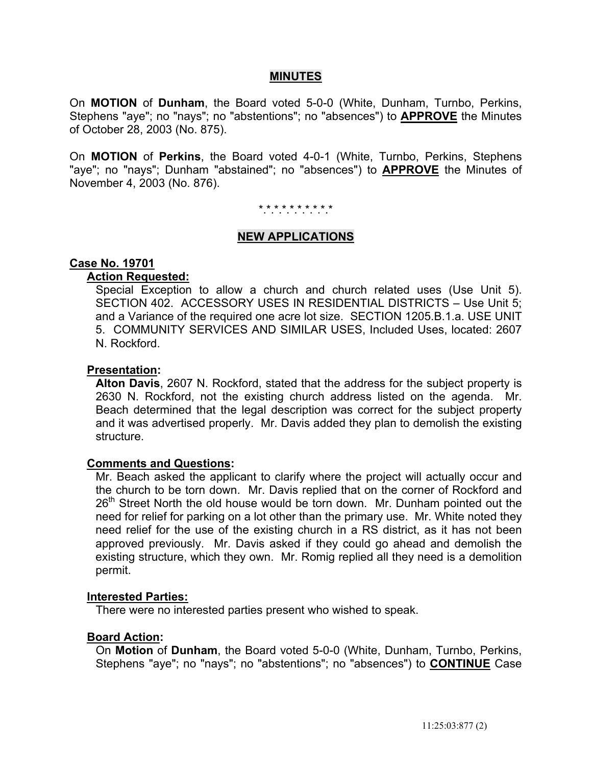# **MINUTES**

On **MOTION** of **Dunham**, the Board voted 5-0-0 (White, Dunham, Turnbo, Perkins, Stephens "aye"; no "nays"; no "abstentions"; no "absences") to **APPROVE** the Minutes of October 28, 2003 (No. 875).

On **MOTION** of **Perkins**, the Board voted 4-0-1 (White, Turnbo, Perkins, Stephens "aye"; no "nays"; Dunham "abstained"; no "absences") to **APPROVE** the Minutes of November 4, 2003 (No. 876).

#### \*.\*.\*.\*.\*.\*.\*.\*.\*.\*

### **NEW APPLICATIONS**

#### **Case No. 19701**

# **Action Requested:**

 Special Exception to allow a church and church related uses (Use Unit 5). SECTION 402. ACCESSORY USES IN RESIDENTIAL DISTRICTS – Use Unit 5; and a Variance of the required one acre lot size. SECTION 1205.B.1.a. USE UNIT 5. COMMUNITY SERVICES AND SIMILAR USES, Included Uses, located: 2607 N. Rockford.

#### **Presentation:**

 **Alton Davis**, 2607 N. Rockford, stated that the address for the subject property is 2630 N. Rockford, not the existing church address listed on the agenda. Mr. Beach determined that the legal description was correct for the subject property and it was advertised properly. Mr. Davis added they plan to demolish the existing structure.

#### **Comments and Questions:**

 Mr. Beach asked the applicant to clarify where the project will actually occur and the church to be torn down. Mr. Davis replied that on the corner of Rockford and 26<sup>th</sup> Street North the old house would be torn down. Mr. Dunham pointed out the need for relief for parking on a lot other than the primary use. Mr. White noted they need relief for the use of the existing church in a RS district, as it has not been approved previously. Mr. Davis asked if they could go ahead and demolish the existing structure, which they own. Mr. Romig replied all they need is a demolition permit.

#### **Interested Parties:**

There were no interested parties present who wished to speak.

## **Board Action:**

On **Motion** of **Dunham**, the Board voted 5-0-0 (White, Dunham, Turnbo, Perkins, Stephens "aye"; no "nays"; no "abstentions"; no "absences") to **CONTINUE** Case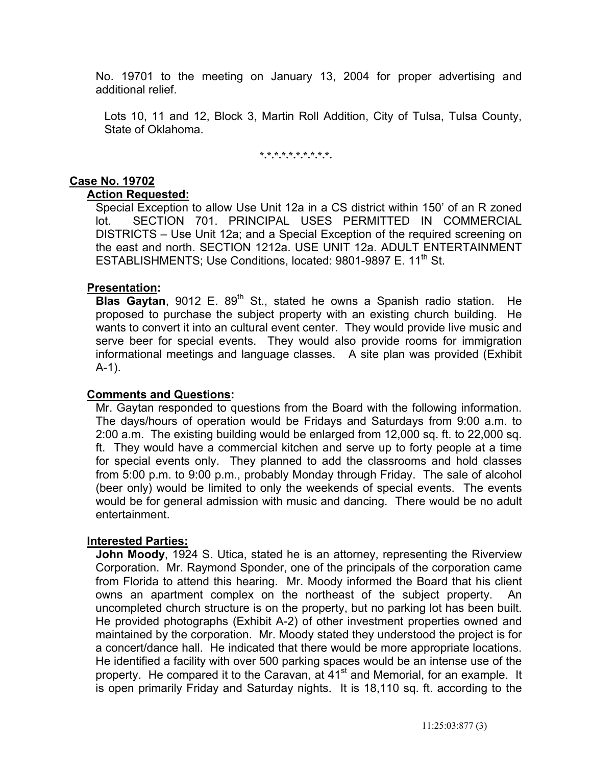No. 19701 to the meeting on January 13, 2004 for proper advertising and additional relief.

 Lots 10, 11 and 12, Block 3, Martin Roll Addition, City of Tulsa, Tulsa County, State of Oklahoma.

**\*.\*.\*.\*.\*.\*.\*.\*.\*.\*.** 

# **Case No. 19702**

# **Action Requested:**

 Special Exception to allow Use Unit 12a in a CS district within 150' of an R zoned lot. SECTION 701. PRINCIPAL USES PERMITTED IN COMMERCIAL DISTRICTS – Use Unit 12a; and a Special Exception of the required screening on the east and north. SECTION 1212a. USE UNIT 12a. ADULT ENTERTAINMENT ESTABLISHMENTS; Use Conditions, located: 9801-9897 E. 11<sup>th</sup> St.

# **Presentation:**

**Blas Gaytan**, 9012 E. 89<sup>th</sup> St., stated he owns a Spanish radio station. He proposed to purchase the subject property with an existing church building. He wants to convert it into an cultural event center. They would provide live music and serve beer for special events. They would also provide rooms for immigration informational meetings and language classes. A site plan was provided (Exhibit A-1).

## **Comments and Questions:**

 Mr. Gaytan responded to questions from the Board with the following information. The days/hours of operation would be Fridays and Saturdays from 9:00 a.m. to 2:00 a.m. The existing building would be enlarged from 12,000 sq. ft. to 22,000 sq. ft. They would have a commercial kitchen and serve up to forty people at a time for special events only. They planned to add the classrooms and hold classes from 5:00 p.m. to 9:00 p.m., probably Monday through Friday. The sale of alcohol (beer only) would be limited to only the weekends of special events. The events would be for general admission with music and dancing. There would be no adult entertainment.

## **Interested Parties:**

 **John Moody**, 1924 S. Utica, stated he is an attorney, representing the Riverview Corporation. Mr. Raymond Sponder, one of the principals of the corporation came from Florida to attend this hearing. Mr. Moody informed the Board that his client owns an apartment complex on the northeast of the subject property. An uncompleted church structure is on the property, but no parking lot has been built. He provided photographs (Exhibit A-2) of other investment properties owned and maintained by the corporation. Mr. Moody stated they understood the project is for a concert/dance hall. He indicated that there would be more appropriate locations. He identified a facility with over 500 parking spaces would be an intense use of the property. He compared it to the Caravan, at 41<sup>st</sup> and Memorial, for an example. It is open primarily Friday and Saturday nights. It is 18,110 sq. ft. according to the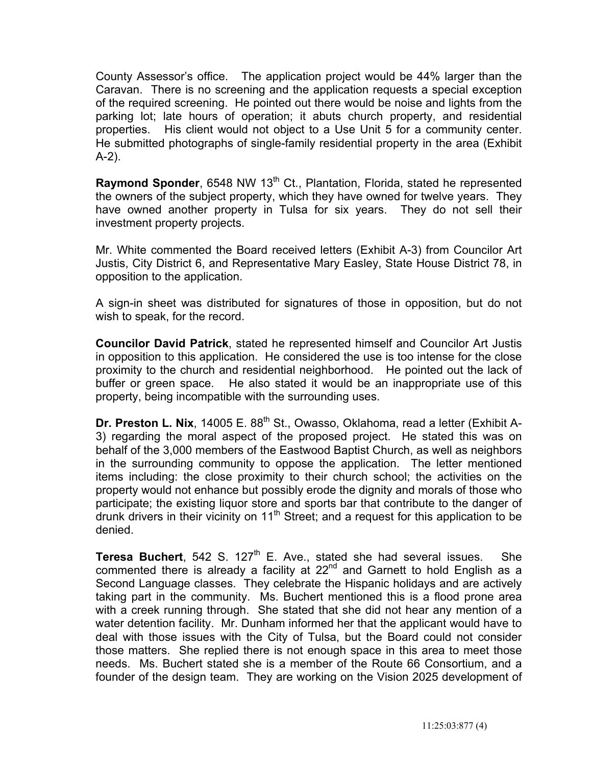County Assessor's office. The application project would be 44% larger than the Caravan. There is no screening and the application requests a special exception of the required screening. He pointed out there would be noise and lights from the parking lot; late hours of operation; it abuts church property, and residential properties. His client would not object to a Use Unit 5 for a community center. He submitted photographs of single-family residential property in the area (Exhibit A-2).

**Raymond Sponder**, 6548 NW 13<sup>th</sup> Ct., Plantation, Florida, stated he represented the owners of the subject property, which they have owned for twelve years. They have owned another property in Tulsa for six years. They do not sell their investment property projects.

 Mr. White commented the Board received letters (Exhibit A-3) from Councilor Art Justis, City District 6, and Representative Mary Easley, State House District 78, in opposition to the application.

 A sign-in sheet was distributed for signatures of those in opposition, but do not wish to speak, for the record.

 **Councilor David Patrick**, stated he represented himself and Councilor Art Justis in opposition to this application. He considered the use is too intense for the close proximity to the church and residential neighborhood. He pointed out the lack of buffer or green space. He also stated it would be an inappropriate use of this property, being incompatible with the surrounding uses.

**Dr. Preston L. Nix**, 14005 E. 88<sup>th</sup> St., Owasso, Oklahoma, read a letter (Exhibit A-3) regarding the moral aspect of the proposed project. He stated this was on behalf of the 3,000 members of the Eastwood Baptist Church, as well as neighbors in the surrounding community to oppose the application. The letter mentioned items including: the close proximity to their church school; the activities on the property would not enhance but possibly erode the dignity and morals of those who participate; the existing liquor store and sports bar that contribute to the danger of drunk drivers in their vicinity on  $11<sup>th</sup>$  Street; and a request for this application to be denied.

**Teresa Buchert**, 542 S. 127<sup>th</sup> E. Ave., stated she had several issues. She commented there is already a facility at  $22<sup>nd</sup>$  and Garnett to hold English as a Second Language classes. They celebrate the Hispanic holidays and are actively taking part in the community. Ms. Buchert mentioned this is a flood prone area with a creek running through. She stated that she did not hear any mention of a water detention facility. Mr. Dunham informed her that the applicant would have to deal with those issues with the City of Tulsa, but the Board could not consider those matters. She replied there is not enough space in this area to meet those needs. Ms. Buchert stated she is a member of the Route 66 Consortium, and a founder of the design team. They are working on the Vision 2025 development of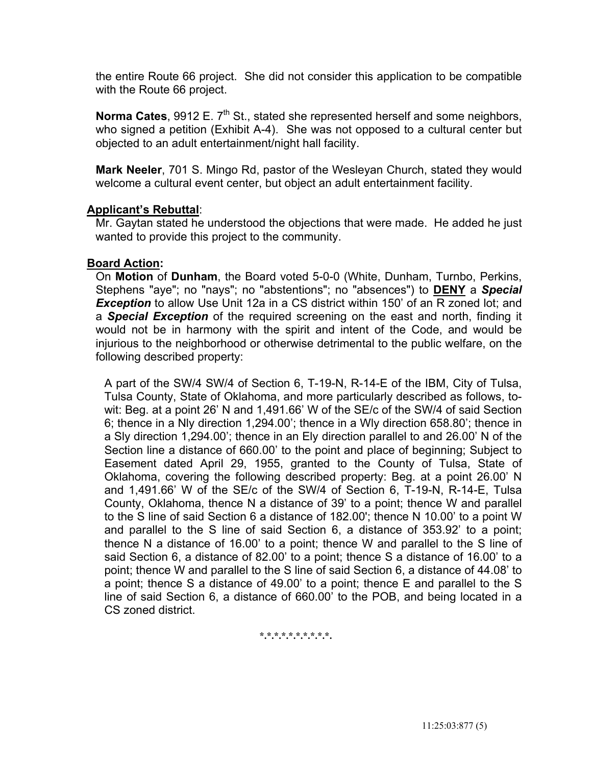the entire Route 66 project. She did not consider this application to be compatible with the Route 66 project.

**Norma Cates**, 9912 E. 7<sup>th</sup> St., stated she represented herself and some neighbors, who signed a petition (Exhibit A-4). She was not opposed to a cultural center but objected to an adult entertainment/night hall facility.

 **Mark Neeler**, 701 S. Mingo Rd, pastor of the Wesleyan Church, stated they would welcome a cultural event center, but object an adult entertainment facility.

# **Applicant's Rebuttal**:

 Mr. Gaytan stated he understood the objections that were made. He added he just wanted to provide this project to the community.

## **Board Action:**

On **Motion** of **Dunham**, the Board voted 5-0-0 (White, Dunham, Turnbo, Perkins, Stephens "aye"; no "nays"; no "abstentions"; no "absences") to **DENY** a *Special*  **Exception** to allow Use Unit 12a in a CS district within 150' of an R zoned lot; and a *Special Exception* of the required screening on the east and north, finding it would not be in harmony with the spirit and intent of the Code, and would be injurious to the neighborhood or otherwise detrimental to the public welfare, on the following described property:

 A part of the SW/4 SW/4 of Section 6, T-19-N, R-14-E of the IBM, City of Tulsa, Tulsa County, State of Oklahoma, and more particularly described as follows, towit: Beg. at a point 26' N and 1,491.66' W of the SE/c of the SW/4 of said Section 6; thence in a Nly direction 1,294.00'; thence in a Wly direction 658.80'; thence in a Sly direction 1,294.00'; thence in an Ely direction parallel to and 26.00' N of the Section line a distance of 660.00' to the point and place of beginning; Subject to Easement dated April 29, 1955, granted to the County of Tulsa, State of Oklahoma, covering the following described property: Beg. at a point 26.00' N and 1,491.66' W of the SE/c of the SW/4 of Section 6, T-19-N, R-14-E, Tulsa County, Oklahoma, thence N a distance of 39' to a point; thence W and parallel to the S line of said Section 6 a distance of 182.00'; thence N 10.00' to a point W and parallel to the S line of said Section 6, a distance of 353.92' to a point; thence N a distance of 16.00' to a point; thence W and parallel to the S line of said Section 6, a distance of 82.00' to a point; thence S a distance of 16.00' to a point; thence W and parallel to the S line of said Section 6, a distance of 44.08' to a point; thence S a distance of 49.00' to a point; thence E and parallel to the S line of said Section 6, a distance of 660.00' to the POB, and being located in a CS zoned district.

**\*.\*.\*.\*.\*.\*.\*.\*.\*.\*.**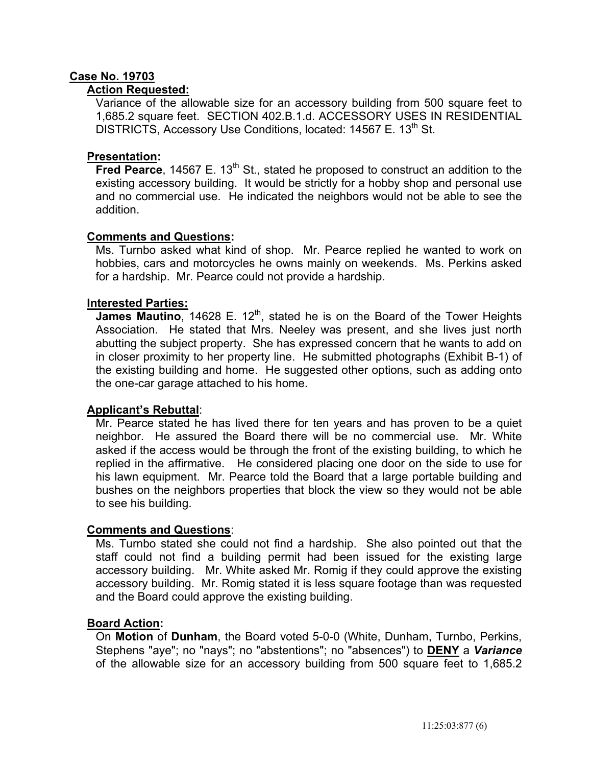# **Case No. 19703**

# **Action Requested:**

 Variance of the allowable size for an accessory building from 500 square feet to 1,685.2 square feet. SECTION 402.B.1.d. ACCESSORY USES IN RESIDENTIAL DISTRICTS, Accessory Use Conditions, located: 14567 E. 13<sup>th</sup> St.

# **Presentation:**

**Fred Pearce**, 14567 E. 13<sup>th</sup> St., stated he proposed to construct an addition to the existing accessory building. It would be strictly for a hobby shop and personal use and no commercial use. He indicated the neighbors would not be able to see the addition.

# **Comments and Questions:**

 Ms. Turnbo asked what kind of shop. Mr. Pearce replied he wanted to work on hobbies, cars and motorcycles he owns mainly on weekends. Ms. Perkins asked for a hardship. Mr. Pearce could not provide a hardship.

# **Interested Parties:**

James Mautino, 14628 E. 12<sup>th</sup>, stated he is on the Board of the Tower Heights Association. He stated that Mrs. Neeley was present, and she lives just north abutting the subject property. She has expressed concern that he wants to add on in closer proximity to her property line. He submitted photographs (Exhibit B-1) of the existing building and home. He suggested other options, such as adding onto the one-car garage attached to his home.

# **Applicant's Rebuttal**:

 Mr. Pearce stated he has lived there for ten years and has proven to be a quiet neighbor. He assured the Board there will be no commercial use. Mr. White asked if the access would be through the front of the existing building, to which he replied in the affirmative. He considered placing one door on the side to use for his lawn equipment. Mr. Pearce told the Board that a large portable building and bushes on the neighbors properties that block the view so they would not be able to see his building.

## **Comments and Questions**:

 Ms. Turnbo stated she could not find a hardship. She also pointed out that the staff could not find a building permit had been issued for the existing large accessory building. Mr. White asked Mr. Romig if they could approve the existing accessory building. Mr. Romig stated it is less square footage than was requested and the Board could approve the existing building.

## **Board Action:**

On **Motion** of **Dunham**, the Board voted 5-0-0 (White, Dunham, Turnbo, Perkins, Stephens "aye"; no "nays"; no "abstentions"; no "absences") to **DENY** a *Variance* of the allowable size for an accessory building from 500 square feet to 1,685.2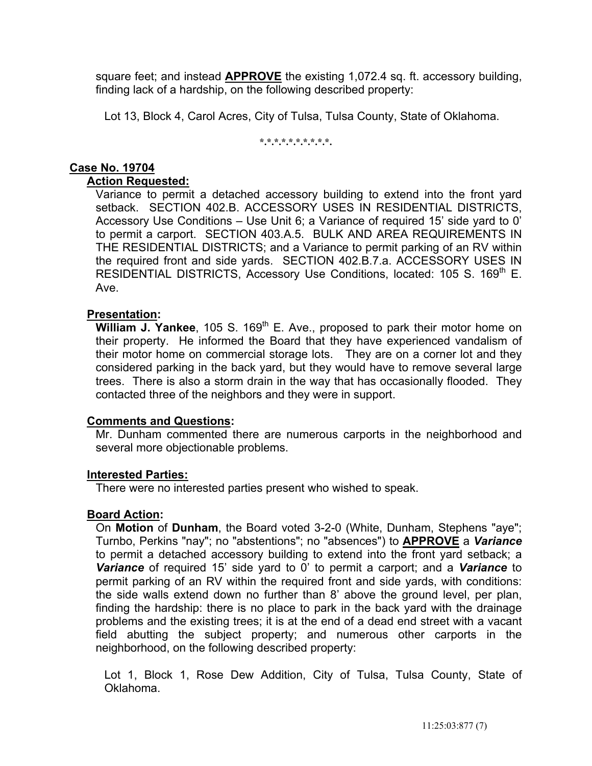square feet; and instead **APPROVE** the existing 1,072.4 sq. ft. accessory building, finding lack of a hardship, on the following described property:

Lot 13, Block 4, Carol Acres, City of Tulsa, Tulsa County, State of Oklahoma.

#### **\*.\*.\*.\*.\*.\*.\*.\*.\*.\*.**

# **Case No. 19704**

# **Action Requested:**

 Variance to permit a detached accessory building to extend into the front yard setback. SECTION 402.B. ACCESSORY USES IN RESIDENTIAL DISTRICTS, Accessory Use Conditions – Use Unit 6; a Variance of required 15' side yard to 0' to permit a carport. SECTION 403.A.5. BULK AND AREA REQUIREMENTS IN THE RESIDENTIAL DISTRICTS; and a Variance to permit parking of an RV within the required front and side yards. SECTION 402.B.7.a. ACCESSORY USES IN RESIDENTIAL DISTRICTS, Accessory Use Conditions, located: 105 S. 169<sup>th</sup> E. Ave.

# **Presentation:**

**William J. Yankee**, 105 S. 169<sup>th</sup> E. Ave., proposed to park their motor home on their property. He informed the Board that they have experienced vandalism of their motor home on commercial storage lots. They are on a corner lot and they considered parking in the back yard, but they would have to remove several large trees. There is also a storm drain in the way that has occasionally flooded. They contacted three of the neighbors and they were in support.

## **Comments and Questions:**

 Mr. Dunham commented there are numerous carports in the neighborhood and several more objectionable problems.

# **Interested Parties:**

There were no interested parties present who wished to speak.

# **Board Action:**

 On **Motion** of **Dunham**, the Board voted 3-2-0 (White, Dunham, Stephens "aye"; Turnbo, Perkins "nay"; no "abstentions"; no "absences") to **APPROVE** a *Variance* to permit a detached accessory building to extend into the front yard setback; a *Variance* of required 15' side yard to 0' to permit a carport; and a *Variance* to permit parking of an RV within the required front and side yards, with conditions: the side walls extend down no further than 8' above the ground level, per plan, finding the hardship: there is no place to park in the back yard with the drainage problems and the existing trees; it is at the end of a dead end street with a vacant field abutting the subject property; and numerous other carports in the neighborhood, on the following described property:

 Lot 1, Block 1, Rose Dew Addition, City of Tulsa, Tulsa County, State of Oklahoma.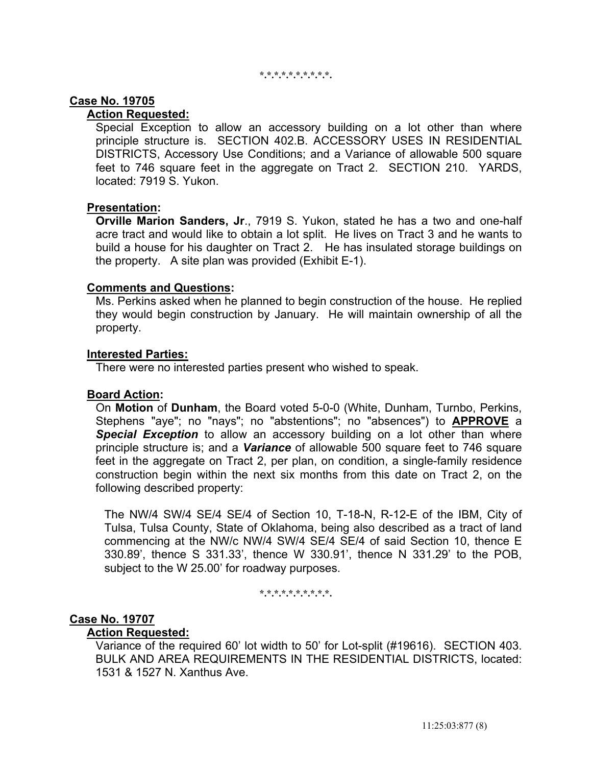#### **\*.\*.\*.\*.\*.\*.\*.\*.\*.\*.**

## **Case No. 19705**

# **Action Requested:**

 Special Exception to allow an accessory building on a lot other than where principle structure is. SECTION 402.B. ACCESSORY USES IN RESIDENTIAL DISTRICTS, Accessory Use Conditions; and a Variance of allowable 500 square feet to 746 square feet in the aggregate on Tract 2. SECTION 210. YARDS, located: 7919 S. Yukon.

## **Presentation:**

 **Orville Marion Sanders, Jr**., 7919 S. Yukon, stated he has a two and one-half acre tract and would like to obtain a lot split. He lives on Tract 3 and he wants to build a house for his daughter on Tract 2. He has insulated storage buildings on the property. A site plan was provided (Exhibit E-1).

### **Comments and Questions:**

 Ms. Perkins asked when he planned to begin construction of the house. He replied they would begin construction by January. He will maintain ownership of all the property.

### **Interested Parties:**

There were no interested parties present who wished to speak.

## **Board Action:**

 On **Motion** of **Dunham**, the Board voted 5-0-0 (White, Dunham, Turnbo, Perkins, Stephens "aye"; no "nays"; no "abstentions"; no "absences") to **APPROVE** a **Special Exception** to allow an accessory building on a lot other than where principle structure is; and a *Variance* of allowable 500 square feet to 746 square feet in the aggregate on Tract 2, per plan, on condition, a single-family residence construction begin within the next six months from this date on Tract 2, on the following described property:

 The NW/4 SW/4 SE/4 SE/4 of Section 10, T-18-N, R-12-E of the IBM, City of Tulsa, Tulsa County, State of Oklahoma, being also described as a tract of land commencing at the NW/c NW/4 SW/4 SE/4 SE/4 of said Section 10, thence E 330.89', thence S 331.33', thence W 330.91', thence N 331.29' to the POB, subject to the W 25.00' for roadway purposes.

**\*.\*.\*.\*.\*.\*.\*.\*.\*.\*.** 

### **Case No. 19707**

# **Action Requested:**

 Variance of the required 60' lot width to 50' for Lot-split (#19616). SECTION 403. BULK AND AREA REQUIREMENTS IN THE RESIDENTIAL DISTRICTS, located: 1531 & 1527 N. Xanthus Ave.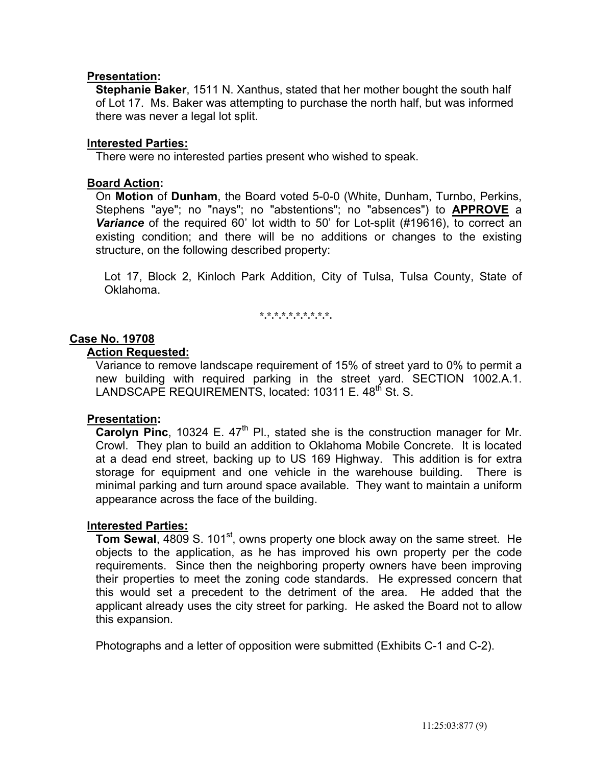# **Presentation:**

 **Stephanie Baker**, 1511 N. Xanthus, stated that her mother bought the south half of Lot 17. Ms. Baker was attempting to purchase the north half, but was informed there was never a legal lot split.

## **Interested Parties:**

There were no interested parties present who wished to speak.

# **Board Action:**

 On **Motion** of **Dunham**, the Board voted 5-0-0 (White, Dunham, Turnbo, Perkins, Stephens "aye"; no "nays"; no "abstentions"; no "absences") to **APPROVE** a *Variance* of the required 60' lot width to 50' for Lot-split (#19616), to correct an existing condition; and there will be no additions or changes to the existing structure, on the following described property:

 Lot 17, Block 2, Kinloch Park Addition, City of Tulsa, Tulsa County, State of Oklahoma.

**\*.\*.\*.\*.\*.\*.\*.\*.\*.\*.** 

# **Case No. 19708**

# **Action Requested:**

 Variance to remove landscape requirement of 15% of street yard to 0% to permit a new building with required parking in the street yard. SECTION 1002.A.1. LANDSCAPE REQUIREMENTS, located: 10311 E. 48<sup>th</sup> St. S.

## **Presentation:**

**Carolyn Pinc**, 10324 E. 47<sup>th</sup> Pl., stated she is the construction manager for Mr. Crowl. They plan to build an addition to Oklahoma Mobile Concrete. It is located at a dead end street, backing up to US 169 Highway. This addition is for extra storage for equipment and one vehicle in the warehouse building. There is minimal parking and turn around space available. They want to maintain a uniform appearance across the face of the building.

## **Interested Parties:**

**Tom Sewal, 4809 S. 101<sup>st</sup>, owns property one block away on the same street. He** objects to the application, as he has improved his own property per the code requirements. Since then the neighboring property owners have been improving their properties to meet the zoning code standards. He expressed concern that this would set a precedent to the detriment of the area. He added that the applicant already uses the city street for parking. He asked the Board not to allow this expansion.

Photographs and a letter of opposition were submitted (Exhibits C-1 and C-2).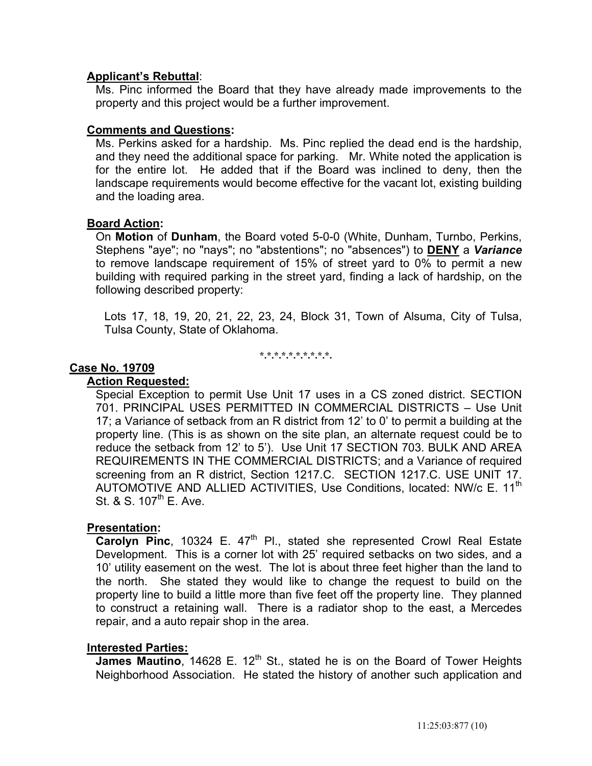# **Applicant's Rebuttal**:

 Ms. Pinc informed the Board that they have already made improvements to the property and this project would be a further improvement.

# **Comments and Questions:**

 Ms. Perkins asked for a hardship. Ms. Pinc replied the dead end is the hardship, and they need the additional space for parking. Mr. White noted the application is for the entire lot. He added that if the Board was inclined to deny, then the landscape requirements would become effective for the vacant lot, existing building and the loading area.

## **Board Action:**

 On **Motion** of **Dunham**, the Board voted 5-0-0 (White, Dunham, Turnbo, Perkins, Stephens "aye"; no "nays"; no "abstentions"; no "absences") to **DENY** a *Variance* to remove landscape requirement of 15% of street yard to 0% to permit a new building with required parking in the street yard, finding a lack of hardship, on the following described property:

 Lots 17, 18, 19, 20, 21, 22, 23, 24, Block 31, Town of Alsuma, City of Tulsa, Tulsa County, State of Oklahoma.

**\*.\*.\*.\*.\*.\*.\*.\*.\*.\*.** 

## **Case No. 19709**

### **Action Requested:**

 Special Exception to permit Use Unit 17 uses in a CS zoned district. SECTION 701. PRINCIPAL USES PERMITTED IN COMMERCIAL DISTRICTS – Use Unit 17; a Variance of setback from an R district from 12' to 0' to permit a building at the property line. (This is as shown on the site plan, an alternate request could be to reduce the setback from 12' to 5'). Use Unit 17 SECTION 703. BULK AND AREA REQUIREMENTS IN THE COMMERCIAL DISTRICTS; and a Variance of required screening from an R district, Section 1217.C. SECTION 1217.C. USE UNIT 17. AUTOMOTIVE AND ALLIED ACTIVITIES, Use Conditions, located: NW/c E. 11<sup>th</sup> St.  $8 \text{ S}$ . 107<sup>th</sup> E. Ave.

## **Presentation:**

**Carolyn Pinc**, 10324 E. 47<sup>th</sup> Pl., stated she represented Crowl Real Estate Development. This is a corner lot with 25' required setbacks on two sides, and a 10' utility easement on the west. The lot is about three feet higher than the land to the north. She stated they would like to change the request to build on the property line to build a little more than five feet off the property line. They planned to construct a retaining wall. There is a radiator shop to the east, a Mercedes repair, and a auto repair shop in the area.

## **Interested Parties:**

James Mautino, 14628 E. 12<sup>th</sup> St., stated he is on the Board of Tower Heights Neighborhood Association. He stated the history of another such application and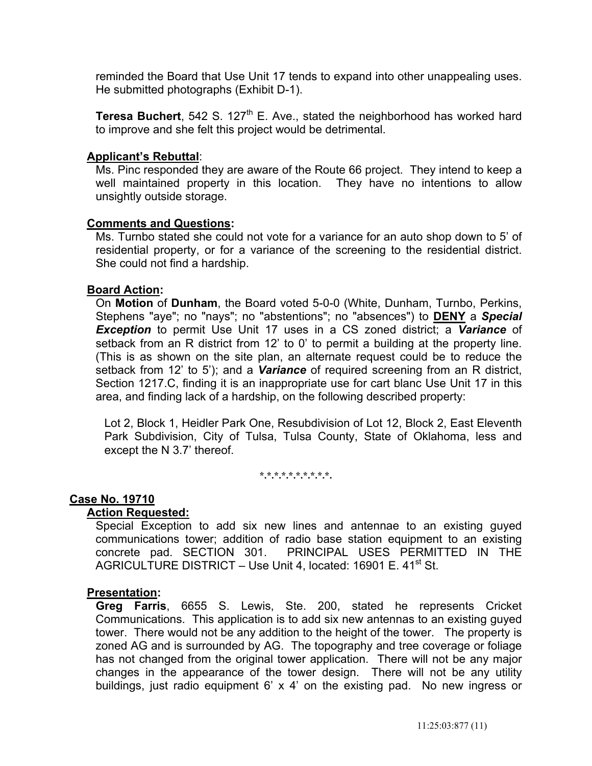reminded the Board that Use Unit 17 tends to expand into other unappealing uses. He submitted photographs (Exhibit D-1).

**Teresa Buchert**, 542 S. 127<sup>th</sup> E. Ave., stated the neighborhood has worked hard to improve and she felt this project would be detrimental.

# **Applicant's Rebuttal**:

 Ms. Pinc responded they are aware of the Route 66 project. They intend to keep a well maintained property in this location. They have no intentions to allow unsightly outside storage.

## **Comments and Questions:**

 Ms. Turnbo stated she could not vote for a variance for an auto shop down to 5' of residential property, or for a variance of the screening to the residential district. She could not find a hardship.

## **Board Action:**

 On **Motion** of **Dunham**, the Board voted 5-0-0 (White, Dunham, Turnbo, Perkins, Stephens "aye"; no "nays"; no "abstentions"; no "absences") to **DENY** a *Special Exception* to permit Use Unit 17 uses in a CS zoned district; a *Variance* of setback from an R district from 12' to 0' to permit a building at the property line. (This is as shown on the site plan, an alternate request could be to reduce the setback from 12' to 5'); and a *Variance* of required screening from an R district, Section 1217.C, finding it is an inappropriate use for cart blanc Use Unit 17 in this area, and finding lack of a hardship, on the following described property:

 Lot 2, Block 1, Heidler Park One, Resubdivision of Lot 12, Block 2, East Eleventh Park Subdivision, City of Tulsa, Tulsa County, State of Oklahoma, less and except the N 3.7' thereof.

**\*.\*.\*.\*.\*.\*.\*.\*.\*.\*.** 

## **Case No. 19710**

## **Action Requested:**

 Special Exception to add six new lines and antennae to an existing guyed communications tower; addition of radio base station equipment to an existing concrete pad. SECTION 301. PRINCIPAL USES PERMITTED IN THE AGRICULTURE DISTRICT – Use Unit 4, located: 16901 E. 41<sup>st</sup> St.

#### **Presentation:**

 **Greg Farris**, 6655 S. Lewis, Ste. 200, stated he represents Cricket Communications. This application is to add six new antennas to an existing guyed tower. There would not be any addition to the height of the tower. The property is zoned AG and is surrounded by AG. The topography and tree coverage or foliage has not changed from the original tower application. There will not be any major changes in the appearance of the tower design. There will not be any utility buildings, just radio equipment 6' x 4' on the existing pad. No new ingress or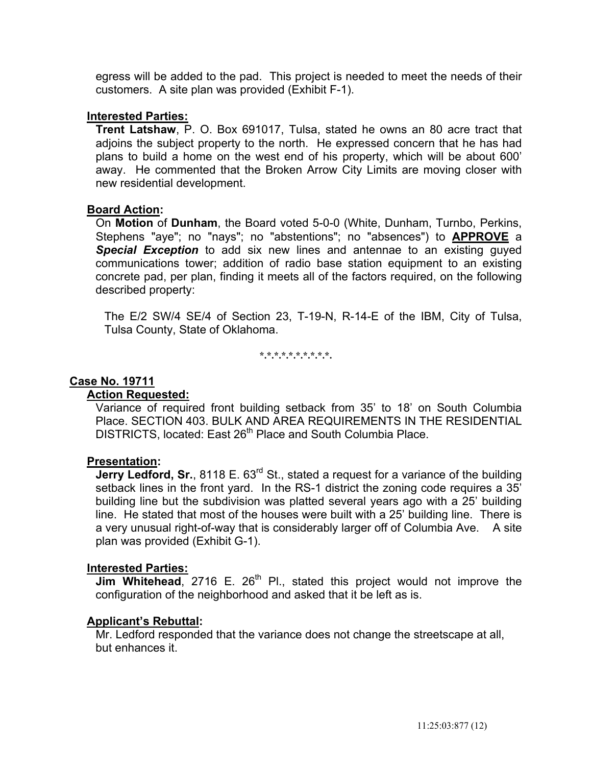egress will be added to the pad. This project is needed to meet the needs of their customers. A site plan was provided (Exhibit F-1).

# **Interested Parties:**

 **Trent Latshaw**, P. O. Box 691017, Tulsa, stated he owns an 80 acre tract that adjoins the subject property to the north. He expressed concern that he has had plans to build a home on the west end of his property, which will be about 600' away. He commented that the Broken Arrow City Limits are moving closer with new residential development.

# **Board Action:**

 On **Motion** of **Dunham**, the Board voted 5-0-0 (White, Dunham, Turnbo, Perkins, Stephens "aye"; no "nays"; no "abstentions"; no "absences") to **APPROVE** a **Special Exception** to add six new lines and antennae to an existing guyed communications tower; addition of radio base station equipment to an existing concrete pad, per plan, finding it meets all of the factors required, on the following described property:

 The E/2 SW/4 SE/4 of Section 23, T-19-N, R-14-E of the IBM, City of Tulsa, Tulsa County, State of Oklahoma.

**\*.\*.\*.\*.\*.\*.\*.\*.\*.\*.** 

# **Case No. 19711**

# **Action Requested:**

 Variance of required front building setback from 35' to 18' on South Columbia Place. SECTION 403. BULK AND AREA REQUIREMENTS IN THE RESIDENTIAL DISTRICTS, located: East 26<sup>th</sup> Place and South Columbia Place.

## **Presentation:**

**Jerry Ledford, Sr.**, 8118 E. 63<sup>rd</sup> St., stated a request for a variance of the building setback lines in the front yard. In the RS-1 district the zoning code requires a 35' building line but the subdivision was platted several years ago with a 25' building line. He stated that most of the houses were built with a 25' building line. There is a very unusual right-of-way that is considerably larger off of Columbia Ave. A site plan was provided (Exhibit G-1).

## **Interested Parties:**

**Jim Whitehead**, 2716 E. 26<sup>th</sup> Pl., stated this project would not improve the configuration of the neighborhood and asked that it be left as is.

# **Applicant's Rebuttal:**

 Mr. Ledford responded that the variance does not change the streetscape at all, but enhances it.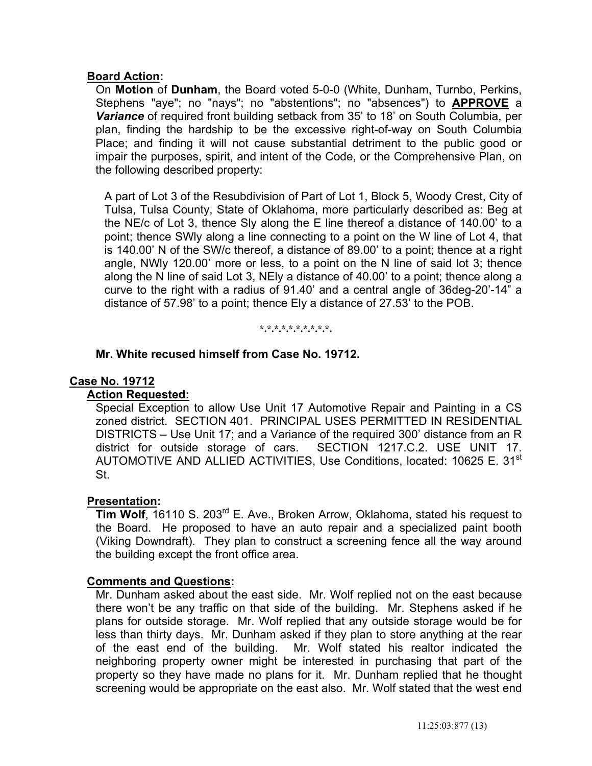# **Board Action:**

 On **Motion** of **Dunham**, the Board voted 5-0-0 (White, Dunham, Turnbo, Perkins, Stephens "aye"; no "nays"; no "abstentions"; no "absences") to **APPROVE** a *Variance* of required front building setback from 35' to 18' on South Columbia, per plan, finding the hardship to be the excessive right-of-way on South Columbia Place; and finding it will not cause substantial detriment to the public good or impair the purposes, spirit, and intent of the Code, or the Comprehensive Plan, on the following described property:

 A part of Lot 3 of the Resubdivision of Part of Lot 1, Block 5, Woody Crest, City of Tulsa, Tulsa County, State of Oklahoma, more particularly described as: Beg at the NE/c of Lot 3, thence Sly along the E line thereof a distance of 140.00' to a point; thence SWly along a line connecting to a point on the W line of Lot 4, that is 140.00' N of the SW/c thereof, a distance of 89.00' to a point; thence at a right angle, NWly 120.00' more or less, to a point on the N line of said lot 3; thence along the N line of said Lot 3, NEly a distance of 40.00' to a point; thence along a curve to the right with a radius of 91.40' and a central angle of 36deg-20'-14" a distance of 57.98' to a point; thence Ely a distance of 27.53' to the POB.

**\*.\*.\*.\*.\*.\*.\*.\*.\*.\*.** 

# **Mr. White recused himself from Case No. 19712.**

# **Case No. 19712**

# **Action Requested:**

 Special Exception to allow Use Unit 17 Automotive Repair and Painting in a CS zoned district. SECTION 401. PRINCIPAL USES PERMITTED IN RESIDENTIAL DISTRICTS – Use Unit 17; and a Variance of the required 300' distance from an R district for outside storage of cars. SECTION 1217.C.2. USE UNIT 17. AUTOMOTIVE AND ALLIED ACTIVITIES, Use Conditions, located: 10625 E. 31<sup>st</sup> St.

## **Presentation:**

**Tim Wolf**, 16110 S. 203<sup>rd</sup> E. Ave., Broken Arrow, Oklahoma, stated his request to the Board. He proposed to have an auto repair and a specialized paint booth (Viking Downdraft). They plan to construct a screening fence all the way around the building except the front office area.

## **Comments and Questions:**

 Mr. Dunham asked about the east side. Mr. Wolf replied not on the east because there won't be any traffic on that side of the building. Mr. Stephens asked if he plans for outside storage. Mr. Wolf replied that any outside storage would be for less than thirty days. Mr. Dunham asked if they plan to store anything at the rear of the east end of the building. Mr. Wolf stated his realtor indicated the neighboring property owner might be interested in purchasing that part of the property so they have made no plans for it. Mr. Dunham replied that he thought screening would be appropriate on the east also. Mr. Wolf stated that the west end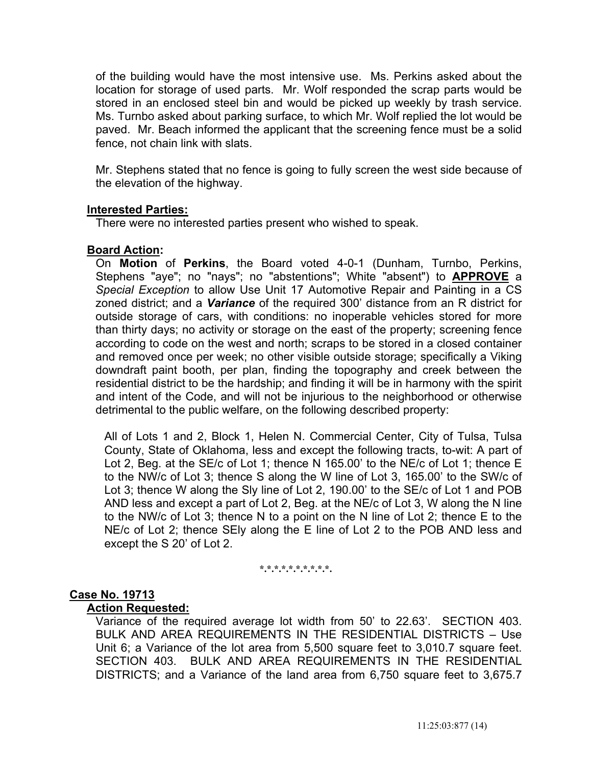of the building would have the most intensive use. Ms. Perkins asked about the location for storage of used parts. Mr. Wolf responded the scrap parts would be stored in an enclosed steel bin and would be picked up weekly by trash service. Ms. Turnbo asked about parking surface, to which Mr. Wolf replied the lot would be paved. Mr. Beach informed the applicant that the screening fence must be a solid fence, not chain link with slats.

 Mr. Stephens stated that no fence is going to fully screen the west side because of the elevation of the highway.

# **Interested Parties:**

There were no interested parties present who wished to speak.

# **Board Action:**

 On **Motion** of **Perkins**, the Board voted 4-0-1 (Dunham, Turnbo, Perkins, Stephens "aye"; no "nays"; no "abstentions"; White "absent") to **APPROVE** a *Special Exception* to allow Use Unit 17 Automotive Repair and Painting in a CS zoned district; and a *Variance* of the required 300' distance from an R district for outside storage of cars, with conditions: no inoperable vehicles stored for more than thirty days; no activity or storage on the east of the property; screening fence according to code on the west and north; scraps to be stored in a closed container and removed once per week; no other visible outside storage; specifically a Viking downdraft paint booth, per plan, finding the topography and creek between the residential district to be the hardship; and finding it will be in harmony with the spirit and intent of the Code, and will not be injurious to the neighborhood or otherwise detrimental to the public welfare, on the following described property:

 All of Lots 1 and 2, Block 1, Helen N. Commercial Center, City of Tulsa, Tulsa County, State of Oklahoma, less and except the following tracts, to-wit: A part of Lot 2, Beg. at the SE/c of Lot 1; thence N 165.00' to the NE/c of Lot 1; thence E to the NW/c of Lot 3; thence S along the W line of Lot 3, 165.00' to the SW/c of Lot 3; thence W along the Sly line of Lot 2, 190.00' to the SE/c of Lot 1 and POB AND less and except a part of Lot 2, Beg. at the NE/c of Lot 3, W along the N line to the NW/c of Lot 3; thence N to a point on the N line of Lot 2; thence E to the NE/c of Lot 2; thence SEly along the E line of Lot 2 to the POB AND less and except the S 20' of Lot 2.

**\*.\*.\*.\*.\*.\*.\*.\*.\*.\*.** 

## **Case No. 19713**

## **Action Requested:**

 Variance of the required average lot width from 50' to 22.63'. SECTION 403. BULK AND AREA REQUIREMENTS IN THE RESIDENTIAL DISTRICTS – Use Unit 6; a Variance of the lot area from 5,500 square feet to 3,010.7 square feet. SECTION 403. BULK AND AREA REQUIREMENTS IN THE RESIDENTIAL DISTRICTS; and a Variance of the land area from 6,750 square feet to 3,675.7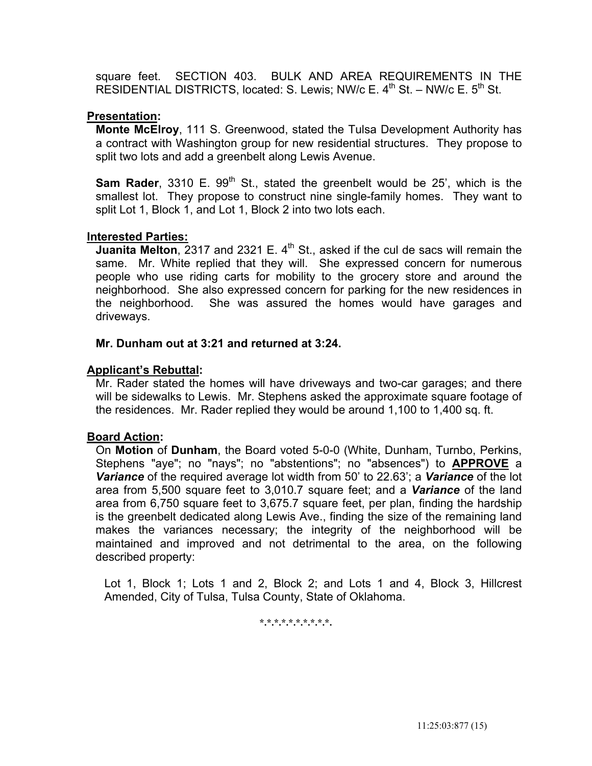square feet. SECTION 403. BULK AND AREA REQUIREMENTS IN THE RESIDENTIAL DISTRICTS, located: S. Lewis; NW/c E.  $4<sup>th</sup>$  St. – NW/c E.  $5<sup>th</sup>$  St.

# **Presentation:**

 **Monte McElroy**, 111 S. Greenwood, stated the Tulsa Development Authority has a contract with Washington group for new residential structures. They propose to split two lots and add a greenbelt along Lewis Avenue.

**Sam Rader**, 3310 E. 99<sup>th</sup> St., stated the greenbelt would be 25', which is the smallest lot. They propose to construct nine single-family homes. They want to split Lot 1, Block 1, and Lot 1, Block 2 into two lots each.

# **Interested Parties:**

**Juanita Melton**, 2317 and 2321 E.  $4<sup>th</sup>$  St., asked if the cul de sacs will remain the same. Mr. White replied that they will. She expressed concern for numerous people who use riding carts for mobility to the grocery store and around the neighborhood. She also expressed concern for parking for the new residences in the neighborhood. She was assured the homes would have garages and driveways.

## **Mr. Dunham out at 3:21 and returned at 3:24.**

# **Applicant's Rebuttal:**

 Mr. Rader stated the homes will have driveways and two-car garages; and there will be sidewalks to Lewis. Mr. Stephens asked the approximate square footage of the residences. Mr. Rader replied they would be around 1,100 to 1,400 sq. ft.

## **Board Action:**

 On **Motion** of **Dunham**, the Board voted 5-0-0 (White, Dunham, Turnbo, Perkins, Stephens "aye"; no "nays"; no "abstentions"; no "absences") to **APPROVE** a *Variance* of the required average lot width from 50' to 22.63'; a *Variance* of the lot area from 5,500 square feet to 3,010.7 square feet; and a *Variance* of the land area from 6,750 square feet to 3,675.7 square feet, per plan, finding the hardship is the greenbelt dedicated along Lewis Ave., finding the size of the remaining land makes the variances necessary; the integrity of the neighborhood will be maintained and improved and not detrimental to the area, on the following described property:

 Lot 1, Block 1; Lots 1 and 2, Block 2; and Lots 1 and 4, Block 3, Hillcrest Amended, City of Tulsa, Tulsa County, State of Oklahoma.

**\*.\*.\*.\*.\*.\*.\*.\*.\*.\*.**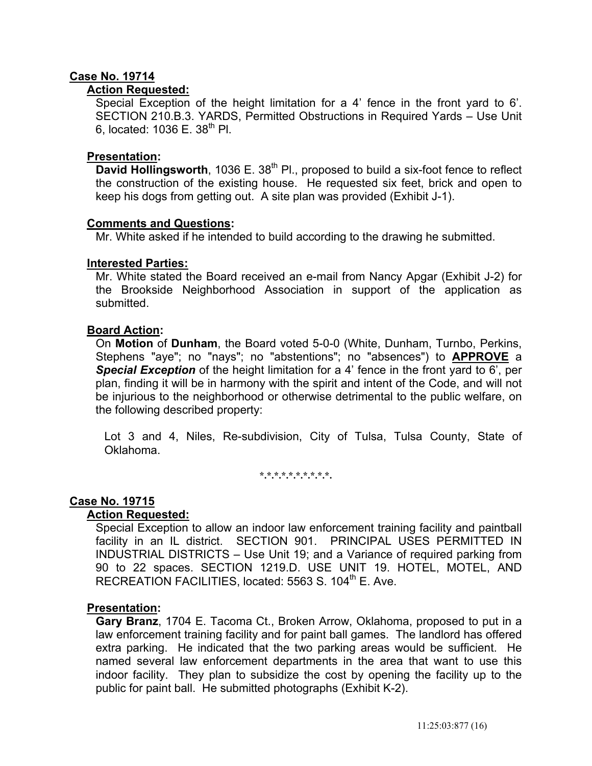# **Case No. 19714**

# **Action Requested:**

 Special Exception of the height limitation for a 4' fence in the front yard to 6'. SECTION 210.B.3. YARDS, Permitted Obstructions in Required Yards – Use Unit 6, located:  $1036 \text{ F}$ ,  $38^{\text{th}}$  Pl.

# **Presentation:**

**David Hollingsworth**, 1036 E. 38<sup>th</sup> Pl., proposed to build a six-foot fence to reflect the construction of the existing house. He requested six feet, brick and open to keep his dogs from getting out. A site plan was provided (Exhibit J-1).

## **Comments and Questions:**

Mr. White asked if he intended to build according to the drawing he submitted.

# **Interested Parties:**

Mr. White stated the Board received an e-mail from Nancy Apgar (Exhibit J-2) for the Brookside Neighborhood Association in support of the application as submitted.

# **Board Action:**

 On **Motion** of **Dunham**, the Board voted 5-0-0 (White, Dunham, Turnbo, Perkins, Stephens "aye"; no "nays"; no "abstentions"; no "absences") to **APPROVE** a *Special Exception* of the height limitation for a 4' fence in the front yard to 6', per plan, finding it will be in harmony with the spirit and intent of the Code, and will not be injurious to the neighborhood or otherwise detrimental to the public welfare, on the following described property:

 Lot 3 and 4, Niles, Re-subdivision, City of Tulsa, Tulsa County, State of Oklahoma.

**\*.\*.\*.\*.\*.\*.\*.\*.\*.\*.** 

## **Case No. 19715**

## **Action Requested:**

 Special Exception to allow an indoor law enforcement training facility and paintball facility in an IL district. SECTION 901. PRINCIPAL USES PERMITTED IN INDUSTRIAL DISTRICTS – Use Unit 19; and a Variance of required parking from 90 to 22 spaces. SECTION 1219.D. USE UNIT 19. HOTEL, MOTEL, AND RECREATION FACILITIES, located: 5563 S. 104<sup>th</sup> E. Ave.

# **Presentation:**

 **Gary Branz**, 1704 E. Tacoma Ct., Broken Arrow, Oklahoma, proposed to put in a law enforcement training facility and for paint ball games. The landlord has offered extra parking. He indicated that the two parking areas would be sufficient. He named several law enforcement departments in the area that want to use this indoor facility. They plan to subsidize the cost by opening the facility up to the public for paint ball. He submitted photographs (Exhibit K-2).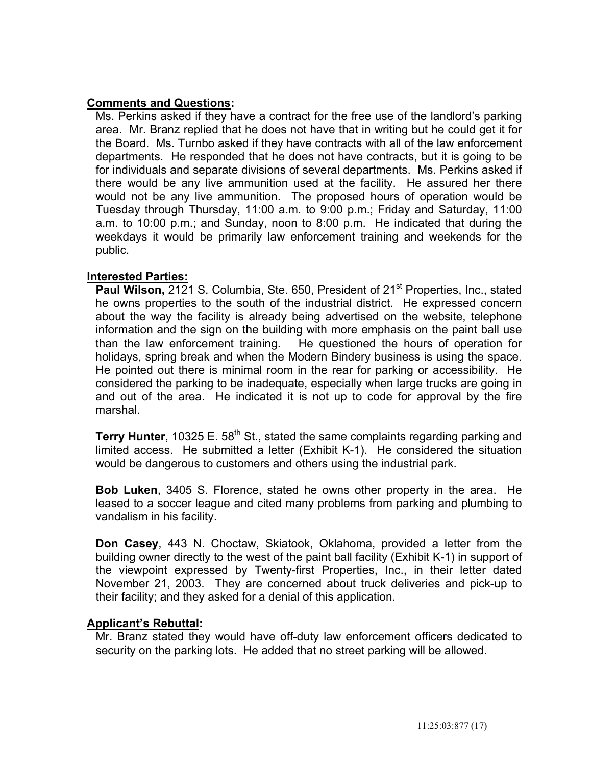# **Comments and Questions:**

 Ms. Perkins asked if they have a contract for the free use of the landlord's parking area. Mr. Branz replied that he does not have that in writing but he could get it for the Board. Ms. Turnbo asked if they have contracts with all of the law enforcement departments. He responded that he does not have contracts, but it is going to be for individuals and separate divisions of several departments. Ms. Perkins asked if there would be any live ammunition used at the facility. He assured her there would not be any live ammunition. The proposed hours of operation would be Tuesday through Thursday, 11:00 a.m. to 9:00 p.m.; Friday and Saturday, 11:00 a.m. to 10:00 p.m.; and Sunday, noon to 8:00 p.m. He indicated that during the weekdays it would be primarily law enforcement training and weekends for the public.

# **Interested Parties:**

**Paul Wilson, 2121 S. Columbia, Ste. 650, President of 21<sup>st</sup> Properties, Inc., stated** he owns properties to the south of the industrial district. He expressed concern about the way the facility is already being advertised on the website, telephone information and the sign on the building with more emphasis on the paint ball use than the law enforcement training. He questioned the hours of operation for holidays, spring break and when the Modern Bindery business is using the space. He pointed out there is minimal room in the rear for parking or accessibility. He considered the parking to be inadequate, especially when large trucks are going in and out of the area. He indicated it is not up to code for approval by the fire marshal.

**Terry Hunter**, 10325 E. 58<sup>th</sup> St., stated the same complaints regarding parking and limited access. He submitted a letter (Exhibit K-1). He considered the situation would be dangerous to customers and others using the industrial park.

 **Bob Luken**, 3405 S. Florence, stated he owns other property in the area. He leased to a soccer league and cited many problems from parking and plumbing to vandalism in his facility.

 **Don Casey**, 443 N. Choctaw, Skiatook, Oklahoma, provided a letter from the building owner directly to the west of the paint ball facility (Exhibit K-1) in support of the viewpoint expressed by Twenty-first Properties, Inc., in their letter dated November 21, 2003. They are concerned about truck deliveries and pick-up to their facility; and they asked for a denial of this application.

## **Applicant's Rebuttal:**

 Mr. Branz stated they would have off-duty law enforcement officers dedicated to security on the parking lots. He added that no street parking will be allowed.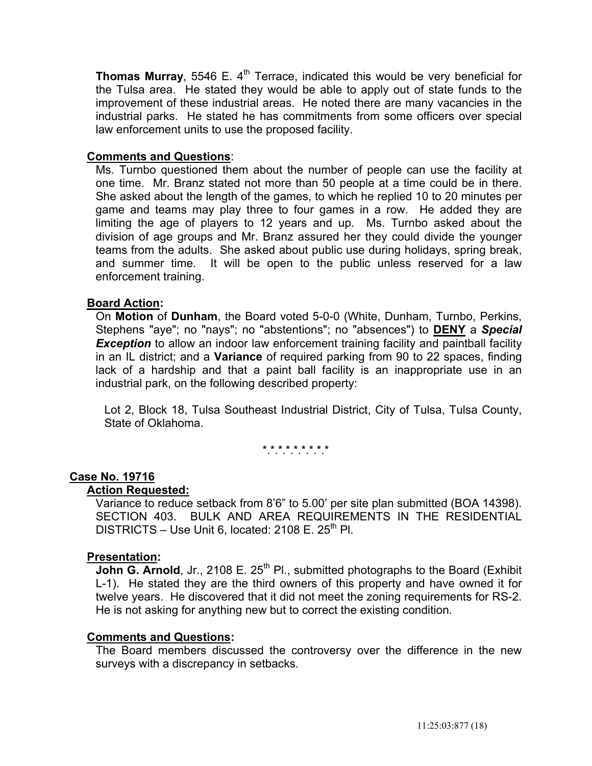**Thomas Murray**, 5546 E. 4<sup>th</sup> Terrace, indicated this would be very beneficial for the Tulsa area. He stated they would be able to apply out of state funds to the improvement of these industrial areas. He noted there are many vacancies in the industrial parks. He stated he has commitments from some officers over special law enforcement units to use the proposed facility.

# **Comments and Questions**:

 Ms. Turnbo questioned them about the number of people can use the facility at one time. Mr. Branz stated not more than 50 people at a time could be in there. She asked about the length of the games, to which he replied 10 to 20 minutes per game and teams may play three to four games in a row. He added they are limiting the age of players to 12 years and up. Ms. Turnbo asked about the division of age groups and Mr. Branz assured her they could divide the younger teams from the adults. She asked about public use during holidays, spring break, and summer time. It will be open to the public unless reserved for a law enforcement training.

# **Board Action:**

 On **Motion** of **Dunham**, the Board voted 5-0-0 (White, Dunham, Turnbo, Perkins, Stephens "aye"; no "nays"; no "abstentions"; no "absences") to **DENY** a *Special*  **Exception** to allow an indoor law enforcement training facility and paintball facility in an IL district; and a **Variance** of required parking from 90 to 22 spaces, finding lack of a hardship and that a paint ball facility is an inappropriate use in an industrial park, on the following described property:

 Lot 2, Block 18, Tulsa Southeast Industrial District, City of Tulsa, Tulsa County, State of Oklahoma.

\*.\*.\*.\*.\*.\*.\*.\*.\*

# **Case No. 19716**

#### **Action Requested:**

 Variance to reduce setback from 8'6" to 5.00' per site plan submitted (BOA 14398). SECTION 403. BULK AND AREA REQUIREMENTS IN THE RESIDENTIAL DISTRICTS – Use Unit 6, located: 2108 E.  $25<sup>th</sup>$  Pl.

## **Presentation:**

**John G. Arnold**, Jr., 2108 E. 25<sup>th</sup> Pl., submitted photographs to the Board (Exhibit L-1). He stated they are the third owners of this property and have owned it for twelve years. He discovered that it did not meet the zoning requirements for RS-2. He is not asking for anything new but to correct the existing condition.

## **Comments and Questions:**

 The Board members discussed the controversy over the difference in the new surveys with a discrepancy in setbacks.